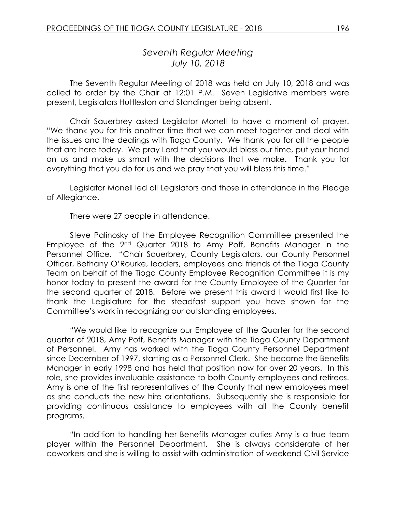# *Seventh Regular Meeting July 10, 2018*

The Seventh Regular Meeting of 2018 was held on July 10, 2018 and was called to order by the Chair at 12:01 P.M. Seven Legislative members were present, Legislators Huttleston and Standinger being absent.

Chair Sauerbrey asked Legislator Monell to have a moment of prayer. "We thank you for this another time that we can meet together and deal with the issues and the dealings with Tioga County. We thank you for all the people that are here today. We pray Lord that you would bless our time, put your hand on us and make us smart with the decisions that we make. Thank you for everything that you do for us and we pray that you will bless this time."

Legislator Monell led all Legislators and those in attendance in the Pledge of Allegiance.

There were 27 people in attendance.

Steve Palinosky of the Employee Recognition Committee presented the Employee of the 2nd Quarter 2018 to Amy Poff, Benefits Manager in the Personnel Office. "Chair Sauerbrey, County Legislators, our County Personnel Officer, Bethany O'Rourke, leaders, employees and friends of the Tioga County Team on behalf of the Tioga County Employee Recognition Committee it is my honor today to present the award for the County Employee of the Quarter for the second quarter of 2018. Before we present this award I would first like to thank the Legislature for the steadfast support you have shown for the Committee's work in recognizing our outstanding employees.

"We would like to recognize our Employee of the Quarter for the second quarter of 2018, Amy Poff, Benefits Manager with the Tioga County Department of Personnel. Amy has worked with the Tioga County Personnel Department since December of 1997, starting as a Personnel Clerk. She became the Benefits Manager in early 1998 and has held that position now for over 20 years. In this role, she provides invaluable assistance to both County employees and retirees. Amy is one of the first representatives of the County that new employees meet as she conducts the new hire orientations. Subsequently she is responsible for providing continuous assistance to employees with all the County benefit programs.

"In addition to handling her Benefits Manager duties Amy is a true team player within the Personnel Department. She is always considerate of her coworkers and she is willing to assist with administration of weekend Civil Service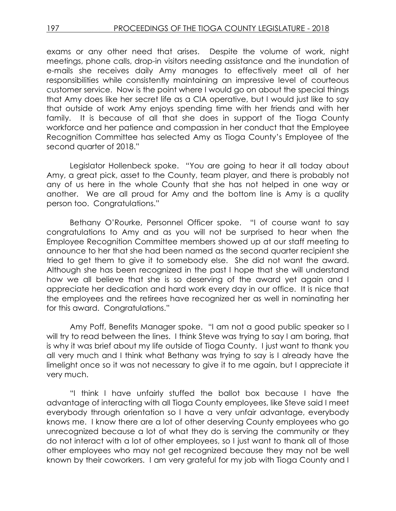exams or any other need that arises. Despite the volume of work, night meetings, phone calls, drop-in visitors needing assistance and the inundation of e-mails she receives daily Amy manages to effectively meet all of her responsibilities while consistently maintaining an impressive level of courteous customer service. Now is the point where I would go on about the special things that Amy does like her secret life as a CIA operative, but I would just like to say that outside of work Amy enjoys spending time with her friends and with her family. It is because of all that she does in support of the Tioga County workforce and her patience and compassion in her conduct that the Employee Recognition Committee has selected Amy as Tioga County's Employee of the second quarter of 2018."

Legislator Hollenbeck spoke. "You are going to hear it all today about Amy, a great pick, asset to the County, team player, and there is probably not any of us here in the whole County that she has not helped in one way or another. We are all proud for Amy and the bottom line is Amy is a quality person too. Congratulations."

Bethany O'Rourke, Personnel Officer spoke. "I of course want to say congratulations to Amy and as you will not be surprised to hear when the Employee Recognition Committee members showed up at our staff meeting to announce to her that she had been named as the second quarter recipient she tried to get them to give it to somebody else. She did not want the award. Although she has been recognized in the past I hope that she will understand how we all believe that she is so deserving of the award yet again and I appreciate her dedication and hard work every day in our office. It is nice that the employees and the retirees have recognized her as well in nominating her for this award. Congratulations."

Amy Poff, Benefits Manager spoke. "I am not a good public speaker so I will try to read between the lines. I think Steve was trying to say I am boring, that is why it was brief about my life outside of Tioga County. I just want to thank you all very much and I think what Bethany was trying to say is I already have the limelight once so it was not necessary to give it to me again, but I appreciate it very much.

"I think I have unfairly stuffed the ballot box because I have the advantage of interacting with all Tioga County employees, like Steve said I meet everybody through orientation so I have a very unfair advantage, everybody knows me. I know there are a lot of other deserving County employees who go unrecognized because a lot of what they do is serving the community or they do not interact with a lot of other employees, so I just want to thank all of those other employees who may not get recognized because they may not be well known by their coworkers. I am very grateful for my job with Tioga County and I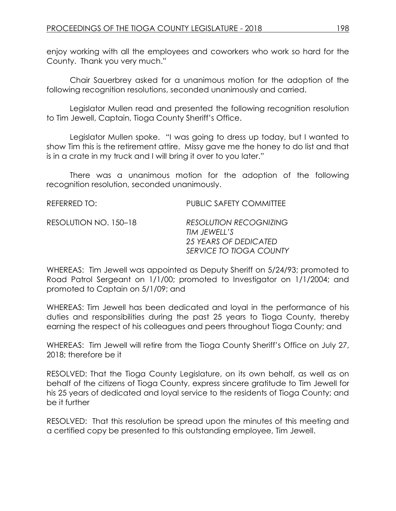enjoy working with all the employees and coworkers who work so hard for the County. Thank you very much."

Chair Sauerbrey asked for a unanimous motion for the adoption of the following recognition resolutions, seconded unanimously and carried.

Legislator Mullen read and presented the following recognition resolution to Tim Jewell, Captain, Tioga County Sheriff's Office.

Legislator Mullen spoke. "I was going to dress up today, but I wanted to show Tim this is the retirement attire. Missy gave me the honey to do list and that is in a crate in my truck and I will bring it over to you later."

There was a unanimous motion for the adoption of the following recognition resolution, seconded unanimously.

| REFERRED TO:          | <b>PUBLIC SAFETY COMMITTEE</b>                |
|-----------------------|-----------------------------------------------|
| RESOLUTION NO. 150–18 | <b>RESOLUTION RECOGNIZING</b><br>TIM JEWELL'S |
|                       | 25 YEARS OF DEDICATED                         |
|                       | SERVICE TO TIOGA COUNTY                       |

WHEREAS: Tim Jewell was appointed as Deputy Sheriff on 5/24/93; promoted to Road Patrol Sergeant on 1/1/00; promoted to Investigator on 1/1/2004; and promoted to Captain on 5/1/09; and

WHEREAS: Tim Jewell has been dedicated and loyal in the performance of his duties and responsibilities during the past 25 years to Tioga County, thereby earning the respect of his colleagues and peers throughout Tioga County; and

WHEREAS: Tim Jewell will retire from the Tioga County Sheriff's Office on July 27, 2018; therefore be it

RESOLVED: That the Tioga County Legislature, on its own behalf, as well as on behalf of the citizens of Tioga County, express sincere gratitude to Tim Jewell for his 25 years of dedicated and loyal service to the residents of Tioga County; and be it further

RESOLVED: That this resolution be spread upon the minutes of this meeting and a certified copy be presented to this outstanding employee, Tim Jewell.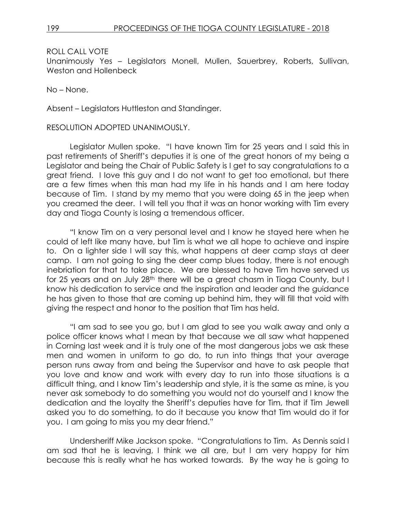Unanimously Yes – Legislators Monell, Mullen, Sauerbrey, Roberts, Sullivan, Weston and Hollenbeck

No – None.

Absent – Legislators Huttleston and Standinger.

#### RESOLUTION ADOPTED UNANIMOUSLY.

Legislator Mullen spoke. "I have known Tim for 25 years and I said this in past retirements of Sheriff's deputies it is one of the great honors of my being a Legislator and being the Chair of Public Safety is I get to say congratulations to a great friend. I love this guy and I do not want to get too emotional, but there are a few times when this man had my life in his hands and I am here today because of Tim. I stand by my memo that you were doing 65 in the jeep when you creamed the deer. I will tell you that it was an honor working with Tim every day and Tioga County is losing a tremendous officer.

"I know Tim on a very personal level and I know he stayed here when he could of left like many have, but Tim is what we all hope to achieve and inspire to. On a lighter side I will say this, what happens at deer camp stays at deer camp. I am not going to sing the deer camp blues today, there is not enough inebriation for that to take place. We are blessed to have Tim have served us for 25 years and on July 28<sup>th</sup> there will be a great chasm in Tioga County, but I know his dedication to service and the inspiration and leader and the guidance he has given to those that are coming up behind him, they will fill that void with giving the respect and honor to the position that Tim has held.

"I am sad to see you go, but I am glad to see you walk away and only a police officer knows what I mean by that because we all saw what happened in Corning last week and it is truly one of the most dangerous jobs we ask these men and women in uniform to go do, to run into things that your average person runs away from and being the Supervisor and have to ask people that you love and know and work with every day to run into those situations is a difficult thing, and I know Tim's leadership and style, it is the same as mine, is you never ask somebody to do something you would not do yourself and I know the dedication and the loyalty the Sheriff's deputies have for Tim, that if Tim Jewell asked you to do something, to do it because you know that Tim would do it for you. I am going to miss you my dear friend."

Undersheriff Mike Jackson spoke. "Congratulations to Tim. As Dennis said I am sad that he is leaving, I think we all are, but I am very happy for him because this is really what he has worked towards. By the way he is going to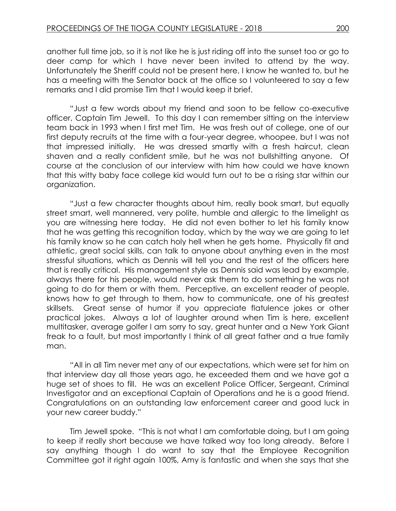another full time job, so it is not like he is just riding off into the sunset too or go to deer camp for which I have never been invited to attend by the way. Unfortunately the Sheriff could not be present here, I know he wanted to, but he has a meeting with the Senator back at the office so I volunteered to say a few remarks and I did promise Tim that I would keep it brief.

"Just a few words about my friend and soon to be fellow co-executive officer, Captain Tim Jewell. To this day I can remember sitting on the interview team back in 1993 when I first met Tim. He was fresh out of college, one of our first deputy recruits at the time with a four-year degree, whoopee, but I was not that impressed initially. He was dressed smartly with a fresh haircut, clean shaven and a really confident smile, but he was not bullshitting anyone. Of course at the conclusion of our interview with him how could we have known that this witty baby face college kid would turn out to be a rising star within our organization.

"Just a few character thoughts about him, really book smart, but equally street smart, well mannered, very polite, humble and allergic to the limelight as you are witnessing here today. He did not even bother to let his family know that he was getting this recognition today, which by the way we are going to let his family know so he can catch holy hell when he gets home. Physically fit and athletic, great social skills, can talk to anyone about anything even in the most stressful situations, which as Dennis will tell you and the rest of the officers here that is really critical. His management style as Dennis said was lead by example, always there for his people, would never ask them to do something he was not going to do for them or with them. Perceptive, an excellent reader of people, knows how to get through to them, how to communicate, one of his greatest skillsets. Great sense of humor if you appreciate flatulence jokes or other practical jokes. Always a lot of laughter around when Tim is here, excellent multitasker, average golfer I am sorry to say, great hunter and a New York Giant freak to a fault, but most importantly I think of all great father and a true family man.

"All in all Tim never met any of our expectations, which were set for him on that interview day all those years ago, he exceeded them and we have got a huge set of shoes to fill. He was an excellent Police Officer, Sergeant, Criminal Investigator and an exceptional Captain of Operations and he is a good friend. Congratulations on an outstanding law enforcement career and good luck in your new career buddy."

Tim Jewell spoke. "This is not what I am comfortable doing, but I am going to keep if really short because we have talked way too long already. Before I say anything though I do want to say that the Employee Recognition Committee got it right again 100%, Amy is fantastic and when she says that she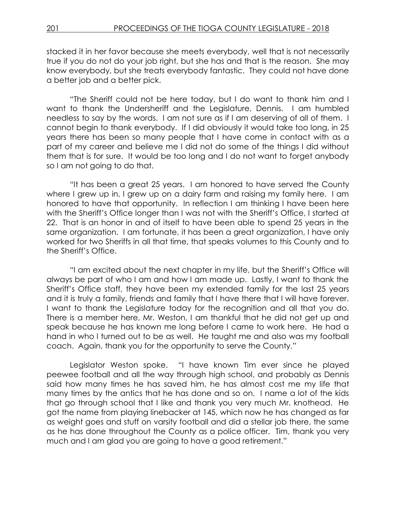stacked it in her favor because she meets everybody, well that is not necessarily true if you do not do your job right, but she has and that is the reason. She may know everybody, but she treats everybody fantastic. They could not have done a better job and a better pick.

"The Sheriff could not be here today, but I do want to thank him and I want to thank the Undersheriff and the Legislature, Dennis. I am humbled needless to say by the words. I am not sure as if I am deserving of all of them. I cannot begin to thank everybody. If I did obviously it would take too long, in 25 years there has been so many people that I have come in contact with as a part of my career and believe me I did not do some of the things I did without them that is for sure. It would be too long and I do not want to forget anybody so I am not going to do that.

"It has been a great 25 years. I am honored to have served the County where I grew up in, I grew up on a dairy farm and raising my family here. I am honored to have that opportunity. In reflection I am thinking I have been here with the Sheriff's Office longer than I was not with the Sheriff's Office, I started at 22. That is an honor in and of itself to have been able to spend 25 years in the same organization. I am fortunate, it has been a great organization, I have only worked for two Sheriffs in all that time, that speaks volumes to this County and to the Sheriff's Office.

"I am excited about the next chapter in my life, but the Sheriff's Office will always be part of who I am and how I am made up. Lastly, I want to thank the Sheriff's Office staff, they have been my extended family for the last 25 years and it is truly a family, friends and family that I have there that I will have forever. I want to thank the Legislature today for the recognition and all that you do. There is a member here, Mr. Weston, I am thankful that he did not get up and speak because he has known me long before I came to work here. He had a hand in who I turned out to be as well. He taught me and also was my football coach. Again, thank you for the opportunity to serve the County."

Legislator Weston spoke. "I have known Tim ever since he played peewee football and all the way through high school, and probably as Dennis said how many times he has saved him, he has almost cost me my life that many times by the antics that he has done and so on. I name a lot of the kids that go through school that I like and thank you very much Mr. knothead. He got the name from playing linebacker at 145, which now he has changed as far as weight goes and stuff on varsity football and did a stellar job there, the same as he has done throughout the County as a police officer. Tim, thank you very much and I am glad you are going to have a good retirement."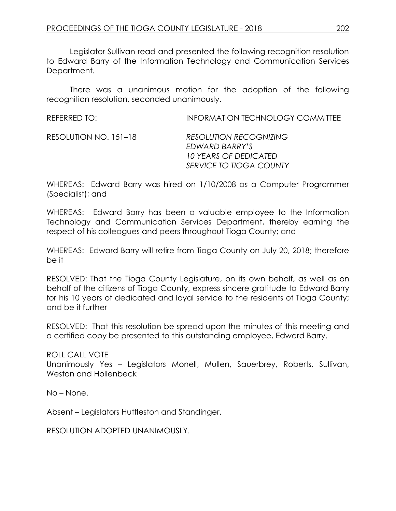Legislator Sullivan read and presented the following recognition resolution to Edward Barry of the Information Technology and Communication Services Department.

There was a unanimous motion for the adoption of the following recognition resolution, seconded unanimously.

| <b>REFERRED TO:</b> | <b>INFORMATION TECHNOLOGY COMMITTEE</b> |
|---------------------|-----------------------------------------|
|                     |                                         |

RESOLUTION NO. 151–18 *RESOLUTION RECOGNIZING EDWARD BARRY'S 10 YEARS OF DEDICATED SERVICE TO TIOGA COUNTY*

WHEREAS: Edward Barry was hired on 1/10/2008 as a Computer Programmer (Specialist); and

WHEREAS: Edward Barry has been a valuable employee to the Information Technology and Communication Services Department, thereby earning the respect of his colleagues and peers throughout Tioga County; and

WHEREAS: Edward Barry will retire from Tioga County on July 20, 2018; therefore be it

RESOLVED: That the Tioga County Legislature, on its own behalf, as well as on behalf of the citizens of Tioga County, express sincere gratitude to Edward Barry for his 10 years of dedicated and loyal service to the residents of Tioga County; and be it further

RESOLVED: That this resolution be spread upon the minutes of this meeting and a certified copy be presented to this outstanding employee, Edward Barry.

ROLL CALL VOTE

Unanimously Yes – Legislators Monell, Mullen, Sauerbrey, Roberts, Sullivan, Weston and Hollenbeck

No – None.

Absent – Legislators Huttleston and Standinger.

RESOLUTION ADOPTED UNANIMOUSLY.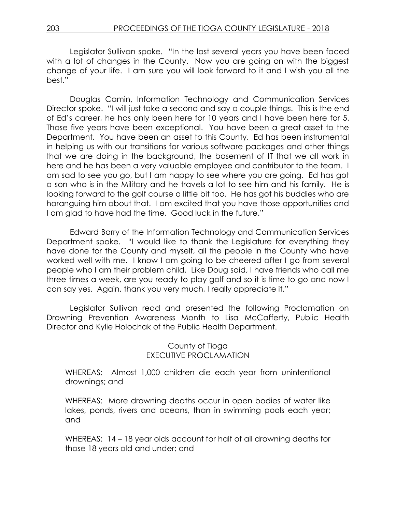Legislator Sullivan spoke. "In the last several years you have been faced with a lot of changes in the County. Now you are going on with the biggest change of your life. I am sure you will look forward to it and I wish you all the best."

Douglas Camin, Information Technology and Communication Services Director spoke. "I will just take a second and say a couple things. This is the end of Ed's career, he has only been here for 10 years and I have been here for 5. Those five years have been exceptional. You have been a great asset to the Department. You have been an asset to this County. Ed has been instrumental in helping us with our transitions for various software packages and other things that we are doing in the background, the basement of IT that we all work in here and he has been a very valuable employee and contributor to the team. I am sad to see you go, but I am happy to see where you are going. Ed has got a son who is in the Military and he travels a lot to see him and his family. He is looking forward to the golf course a little bit too. He has got his buddies who are haranguing him about that. I am excited that you have those opportunities and I am glad to have had the time. Good luck in the future."

Edward Barry of the Information Technology and Communication Services Department spoke. "I would like to thank the Legislature for everything they have done for the County and myself, all the people in the County who have worked well with me. I know I am going to be cheered after I go from several people who I am their problem child. Like Doug said, I have friends who call me three times a week, are you ready to play golf and so it is time to go and now I can say yes. Again, thank you very much, I really appreciate it."

Legislator Sullivan read and presented the following Proclamation on Drowning Prevention Awareness Month to Lisa McCafferty, Public Health Director and Kylie Holochak of the Public Health Department.

### County of Tioga EXECUTIVE PROCLAMATION

WHEREAS: Almost 1,000 children die each year from unintentional drownings; and

WHEREAS: More drowning deaths occur in open bodies of water like lakes, ponds, rivers and oceans, than in swimming pools each year; and

WHEREAS: 14 – 18 year olds account for half of all drowning deaths for those 18 years old and under; and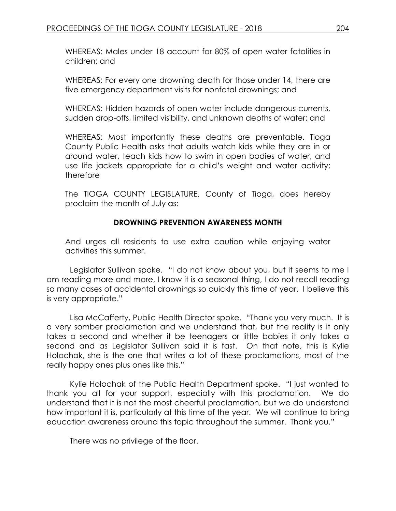WHEREAS: Males under 18 account for 80% of open water fatalities in children; and

WHEREAS: For every one drowning death for those under 14, there are five emergency department visits for nonfatal drownings; and

WHEREAS: Hidden hazards of open water include dangerous currents, sudden drop-offs, limited visibility, and unknown depths of water; and

WHEREAS: Most importantly these deaths are preventable. Tioga County Public Health asks that adults watch kids while they are in or around water, teach kids how to swim in open bodies of water, and use life jackets appropriate for a child's weight and water activity; therefore

The TIOGA COUNTY LEGISLATURE, County of Tioga, does hereby proclaim the month of July as:

# **DROWNING PREVENTION AWARENESS MONTH**

And urges all residents to use extra caution while enjoying water activities this summer.

Legislator Sullivan spoke. "I do not know about you, but it seems to me I am reading more and more, I know it is a seasonal thing, I do not recall reading so many cases of accidental drownings so quickly this time of year. I believe this is very appropriate."

Lisa McCafferty, Public Health Director spoke. "Thank you very much. It is a very somber proclamation and we understand that, but the reality is it only takes a second and whether it be teenagers or little babies it only takes a second and as Legislator Sullivan said it is fast. On that note, this is Kylie Holochak, she is the one that writes a lot of these proclamations, most of the really happy ones plus ones like this."

Kylie Holochak of the Public Health Department spoke. "I just wanted to thank you all for your support, especially with this proclamation. We do understand that it is not the most cheerful proclamation, but we do understand how important it is, particularly at this time of the year. We will continue to bring education awareness around this topic throughout the summer. Thank you."

There was no privilege of the floor.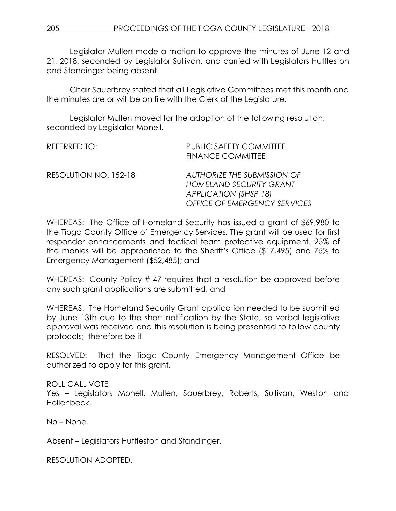Legislator Mullen made a motion to approve the minutes of June 12 and 21, 2018, seconded by Legislator Sullivan, and carried with Legislators Huttleston and Standinger being absent.

Chair Sauerbrey stated that all Legislative Committees met this month and the minutes are or will be on file with the Clerk of the Legislature.

Legislator Mullen moved for the adoption of the following resolution, seconded by Legislator Monell.

| REFERRED TO:          | <b>PUBLIC SAFETY COMMITTEE</b><br><b>FINANCE COMMITTEE</b>                                                                           |
|-----------------------|--------------------------------------------------------------------------------------------------------------------------------------|
| RESOLUTION NO. 152-18 | <b>AUTHORIZE THE SUBMISSION OF</b><br><b>HOMELAND SECURITY GRANT</b><br><b>APPLICATION (SHSP 18)</b><br>OFFICE OF EMERGENCY SERVICES |

WHEREAS: The Office of Homeland Security has issued a grant of \$69,980 to the Tioga County Office of Emergency Services. The grant will be used for first responder enhancements and tactical team protective equipment. 25% of the monies will be appropriated to the Sheriff's Office (\$17,495) and 75% to Emergency Management (\$52,485); and

WHEREAS: County Policy #47 requires that a resolution be approved before any such grant applications are submitted; and

WHEREAS: The Homeland Security Grant application needed to be submitted by June 13th due to the short notification by the State, so verbal legislative approval was received and this resolution is being presented to follow county protocols; therefore be it

RESOLVED: That the Tioga County Emergency Management Office be authorized to apply for this grant.

ROLL CALL VOTE Yes – Legislators Monell, Mullen, Sauerbrey, Roberts, Sullivan, Weston and Hollenbeck.

No – None.

Absent – Legislators Huttleston and Standinger.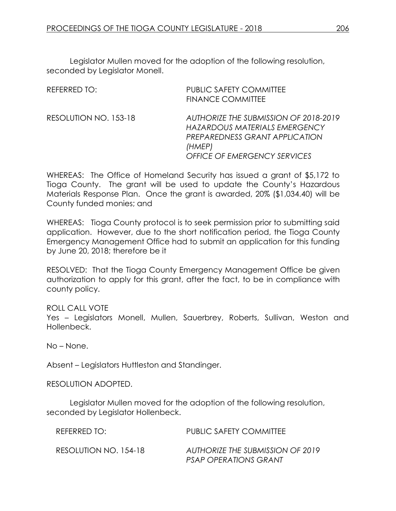Legislator Mullen moved for the adoption of the following resolution, seconded by Legislator Monell.

| REFERRED TO:          | <b>PUBLIC SAFETY COMMITTEE</b><br><b>FINANCE COMMITTEE</b>                                                                                                |
|-----------------------|-----------------------------------------------------------------------------------------------------------------------------------------------------------|
| RESOLUTION NO. 153-18 | AUTHORIZE THE SUBMISSION OF 2018-2019<br>HAZARDOUS MATERIALS EMERGENCY<br>PREPAREDNESS GRANT APPLICATION<br>(HMEP)<br><b>OFFICE OF EMERGENCY SERVICES</b> |

WHEREAS: The Office of Homeland Security has issued a grant of \$5,172 to Tioga County. The grant will be used to update the County's Hazardous Materials Response Plan. Once the grant is awarded, 20% (\$1,034.40) will be County funded monies; and

WHEREAS: Tioga County protocol is to seek permission prior to submitting said application. However, due to the short notification period, the Tioga County Emergency Management Office had to submit an application for this funding by June 20, 2018; therefore be it

RESOLVED: That the Tioga County Emergency Management Office be given authorization to apply for this grant, after the fact, to be in compliance with county policy.

ROLL CALL VOTE

Yes – Legislators Monell, Mullen, Sauerbrey, Roberts, Sullivan, Weston and Hollenbeck.

No – None.

Absent – Legislators Huttleston and Standinger.

RESOLUTION ADOPTED.

Legislator Mullen moved for the adoption of the following resolution, seconded by Legislator Hollenbeck.

| REFERRED TO:          | <b>PUBLIC SAFETY COMMITTEE</b>                                   |
|-----------------------|------------------------------------------------------------------|
| RESOLUTION NO. 154-18 | AUTHORIZE THE SUBMISSION OF 2019<br><b>PSAP OPERATIONS GRANT</b> |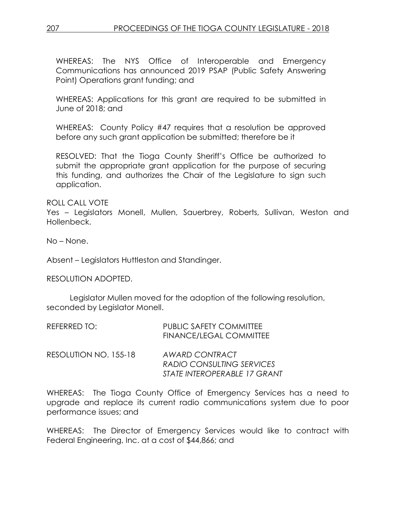207 PROCEEDINGS OF THE TIOGA COUNTY LEGISLATURE - 2018

WHEREAS: The NYS Office of Interoperable and Emergency Communications has announced 2019 PSAP (Public Safety Answering Point) Operations grant funding; and

WHEREAS: Applications for this grant are required to be submitted in June of 2018; and

WHEREAS: County Policy #47 requires that a resolution be approved before any such grant application be submitted; therefore be it

RESOLVED: That the Tioga County Sheriff's Office be authorized to submit the appropriate grant application for the purpose of securing this funding, and authorizes the Chair of the Legislature to sign such application.

ROLL CALL VOTE

Yes – Legislators Monell, Mullen, Sauerbrey, Roberts, Sullivan, Weston and Hollenbeck.

No – None.

Absent – Legislators Huttleston and Standinger.

RESOLUTION ADOPTED.

Legislator Mullen moved for the adoption of the following resolution, seconded by Legislator Monell.

| REFERRED TO:          | <b>PUBLIC SAFETY COMMITTEE</b><br>FINANCE/LEGAL COMMITTEE |
|-----------------------|-----------------------------------------------------------|
| RESOLUTION NO. 155-18 | AWARD CONTRACT                                            |
|                       | RADIO CONSULTING SERVICES                                 |
|                       | STATE INTEROPERABLE 17 GRANT                              |

WHEREAS: The Tioga County Office of Emergency Services has a need to upgrade and replace its current radio communications system due to poor performance issues; and

WHEREAS: The Director of Emergency Services would like to contract with Federal Engineering, Inc. at a cost of \$44,866; and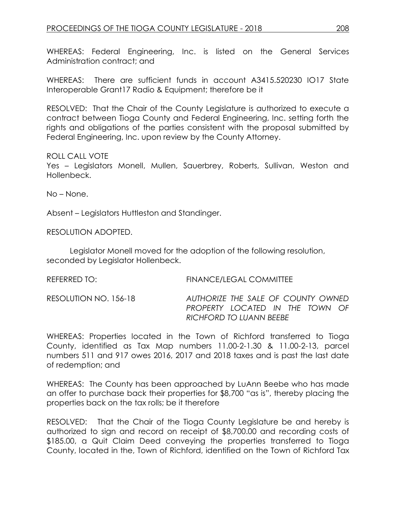WHEREAS: Federal Engineering, Inc. is listed on the General Services Administration contract; and

WHEREAS: There are sufficient funds in account A3415.520230 IO17 State Interoperable Grant17 Radio & Equipment; therefore be it

RESOLVED: That the Chair of the County Legislature is authorized to execute a contract between Tioga County and Federal Engineering, Inc. setting forth the rights and obligations of the parties consistent with the proposal submitted by Federal Engineering, Inc. upon review by the County Attorney.

### ROLL CALL VOTE

Yes – Legislators Monell, Mullen, Sauerbrey, Roberts, Sullivan, Weston and Hollenbeck.

No – None.

Absent – Legislators Huttleston and Standinger.

### RESOLUTION ADOPTED.

Legislator Monell moved for the adoption of the following resolution, seconded by Legislator Hollenbeck.

| REFERRED TO: | <b>FINANCE/LEGAL COMMITTEE</b> |
|--------------|--------------------------------|
| $F = 20$     | $\overline{a}$                 |

RESOLUTION NO. 156-18 *AUTHORIZE THE SALE OF COUNTY OWNED PROPERTY LOCATED IN THE TOWN OF RICHFORD TO LUANN BEEBE* 

WHEREAS: Properties located in the Town of Richford transferred to Tioga County, identified as Tax Map numbers 11.00-2-1.30 & 11.00-2-13, parcel numbers 511 and 917 owes 2016, 2017 and 2018 taxes and is past the last date of redemption; and

WHEREAS: The County has been approached by LuAnn Beebe who has made an offer to purchase back their properties for \$8,700 "as is", thereby placing the properties back on the tax rolls; be it therefore

RESOLVED: That the Chair of the Tioga County Legislature be and hereby is authorized to sign and record on receipt of \$8,700.00 and recording costs of \$185.00, a Quit Claim Deed conveying the properties transferred to Tioga County, located in the, Town of Richford, identified on the Town of Richford Tax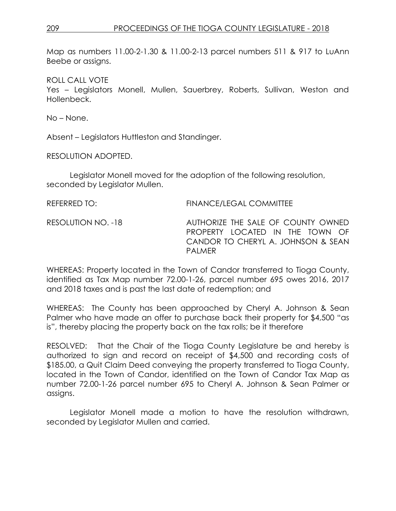Map as numbers 11.00-2-1.30 & 11.00-2-13 parcel numbers 511 & 917 to LuAnn Beebe or assigns.

ROLL CALL VOTE

Yes – Legislators Monell, Mullen, Sauerbrey, Roberts, Sullivan, Weston and Hollenbeck.

No – None.

Absent – Legislators Huttleston and Standinger.

RESOLUTION ADOPTED.

Legislator Monell moved for the adoption of the following resolution, seconded by Legislator Mullen.

| REFERRED TO:       | <b>FINANCE/LEGAL COMMITTEE</b>                                                                                               |
|--------------------|------------------------------------------------------------------------------------------------------------------------------|
| RESOLUTION NO. -18 | AUTHORIZE THE SALE OF COUNTY OWNED<br>PROPERTY LOCATED IN THE TOWN OF<br>CANDOR TO CHERYL A. JOHNSON & SEAN<br><b>PAIMER</b> |

WHEREAS: Property located in the Town of Candor transferred to Tioga County, identified as Tax Map number 72.00-1-26, parcel number 695 owes 2016, 2017 and 2018 taxes and is past the last date of redemption; and

WHEREAS: The County has been approached by Cheryl A. Johnson & Sean Palmer who have made an offer to purchase back their property for \$4,500 "as is", thereby placing the property back on the tax rolls; be it therefore

RESOLVED: That the Chair of the Tioga County Legislature be and hereby is authorized to sign and record on receipt of \$4,500 and recording costs of \$185.00, a Quit Claim Deed conveying the property transferred to Tioga County, located in the Town of Candor, identified on the Town of Candor Tax Map as number 72.00-1-26 parcel number 695 to Cheryl A. Johnson & Sean Palmer or assigns.

Legislator Monell made a motion to have the resolution withdrawn, seconded by Legislator Mullen and carried.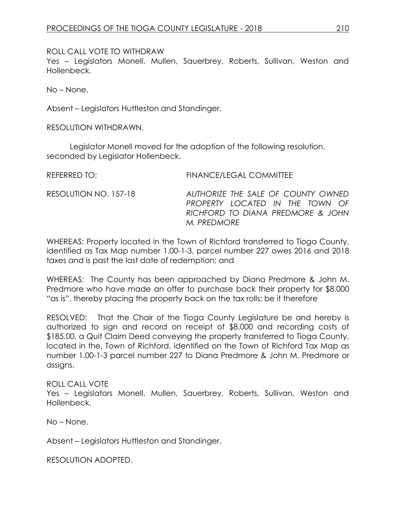ROLL CALL VOTE TO WITHDRAW

Yes - Legislators Monell, Mullen, Sauerbrey, Roberts, Sullivan, Weston and Hollenbeck.

No – None.

Absent – Legislators Huttleston and Standinger.

RESOLUTION WITHDRAWN.

Legislator Monell moved for the adoption of the following resolution, seconded by Legislator Hollenbeck.

REFERRED TO: FINANCE/LEGAL COMMITTEE RESOLUTION NO. 157-18 *AUTHORIZE THE SALE OF COUNTY OWNED PROPERTY LOCATED IN THE TOWN OF RICHFORD TO DIANA PREDMORE & JOHN M. PREDMORE* 

WHEREAS: Property located in the Town of Richford transferred to Tioga County, identified as Tax Map number 1.00-1-3, parcel number 227 owes 2016 and 2018 taxes and is past the last date of redemption; and

WHEREAS: The County has been approached by Diana Predmore & John M. Predmore who have made an offer to purchase back their property for \$8,000 "as is", thereby placing the property back on the tax rolls; be it therefore

RESOLVED: That the Chair of the Tioga County Legislature be and hereby is authorized to sign and record on receipt of \$8,000 and recording costs of \$185.00, a Quit Claim Deed conveying the property transferred to Tioga County, located in the, Town of Richford, identified on the Town of Richford Tax Map as number 1.00-1-3 parcel number 227 to Diana Predmore & John M. Predmore or assigns.

# ROLL CALL VOTE

Yes – Legislators Monell, Mullen, Sauerbrey, Roberts, Sullivan, Weston and Hollenbeck.

No – None.

Absent – Legislators Huttleston and Standinger.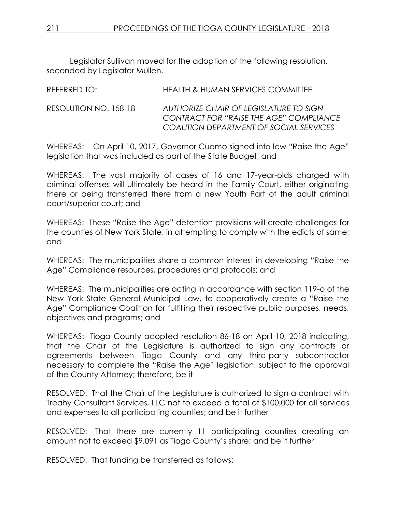Legislator Sullivan moved for the adoption of the following resolution, seconded by Legislator Mullen.

| REFERRED TO:          | <b>HEALTH &amp; HUMAN SERVICES COMMITTEE</b>                                                                                 |
|-----------------------|------------------------------------------------------------------------------------------------------------------------------|
| RESOLUTION NO. 158-18 | AUTHORIZE CHAIR OF LEGISLATURE TO SIGN<br>CONTRACT FOR "RAISE THE AGE" COMPLIANCE<br>COALITION DEPARTMENT OF SOCIAL SERVICES |

WHEREAS: On April 10, 2017, Governor Cuomo signed into law "Raise the Age" legislation that was included as part of the State Budget; and

WHEREAS: The vast majority of cases of 16 and 17-year-olds charged with criminal offenses will ultimately be heard in the Family Court, either originating there or being transferred there from a new Youth Part of the adult criminal court/superior court; and

WHEREAS: These "Raise the Age" detention provisions will create challenges for the counties of New York State, in attempting to comply with the edicts of same; and

WHEREAS: The municipalities share a common interest in developing "Raise the Age" Compliance resources, procedures and protocols; and

WHEREAS: The municipalities are acting in accordance with section 119-o of the New York State General Municipal Law, to cooperatively create a "Raise the Age" Compliance Coalition for fulfilling their respective public purposes, needs, objectives and programs; and

WHEREAS: Tioga County adopted resolution 86-18 on April 10, 2018 indicating, that the Chair of the Legislature is authorized to sign any contracts or agreements between Tioga County and any third-party subcontractor necessary to complete the "Raise the Age" legislation, subject to the approval of the County Attorney; therefore, be it

RESOLVED:That the Chair of the Legislature is authorized to sign a contract with Treahy Consultant Services, LLC not to exceed a total of \$100,000 for all services and expenses to all participating counties; and be it further

RESOLVED: That there are currently 11 participating counties creating an amount not to exceed \$9,091 as Tioga County's share; and be it further

RESOLVED: That funding be transferred as follows: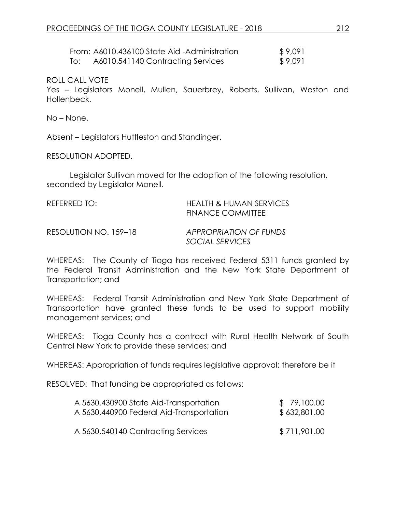|     | From: A6010.436100 State Aid -Administration | \$9,091 |
|-----|----------------------------------------------|---------|
| To: | A6010.541140 Contracting Services            | \$9,091 |

Yes – Legislators Monell, Mullen, Sauerbrey, Roberts, Sullivan, Weston and Hollenbeck.

No – None.

Absent – Legislators Huttleston and Standinger.

RESOLUTION ADOPTED.

Legislator Sullivan moved for the adoption of the following resolution, seconded by Legislator Monell.

| REFERRED TO:           | HEALTH & HUMAN SERVICES<br><b>FINANCE COMMITTEE</b> |  |
|------------------------|-----------------------------------------------------|--|
| DECOIIITION NLO 150 10 | A DDDODDIATIONI OE EI INIDE                         |  |

RESOLUTION NO. 159–18 *APPROPRIATION OF FUNDS SOCIAL SERVICES*

WHEREAS: The County of Tioga has received Federal 5311 funds granted by the Federal Transit Administration and the New York State Department of Transportation; and

WHEREAS: Federal Transit Administration and New York State Department of Transportation have granted these funds to be used to support mobility management services; and

WHEREAS: Tioga County has a contract with Rural Health Network of South Central New York to provide these services; and

WHEREAS: Appropriation of funds requires legislative approval; therefore be it

RESOLVED: That funding be appropriated as follows:

| A 5630.430900 State Aid-Transportation   | \$79,100.00  |
|------------------------------------------|--------------|
| A 5630.440900 Federal Aid-Transportation | \$632,801.00 |
| A 5630.540140 Contracting Services       | \$711,901.00 |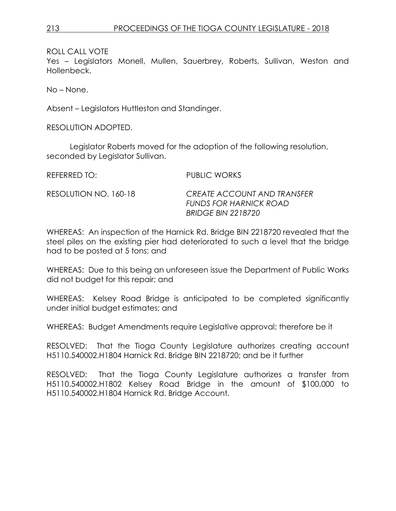Yes – Legislators Monell, Mullen, Sauerbrey, Roberts, Sullivan, Weston and Hollenbeck.

No – None.

Absent – Legislators Huttleston and Standinger.

RESOLUTION ADOPTED.

Legislator Roberts moved for the adoption of the following resolution, seconded by Legislator Sullivan.

REFERRED TO: PUBLIC WORKS RESOLUTION NO. 160-18 *CREATE ACCOUNT AND TRANSFER* 

WHEREAS: An inspection of the Harnick Rd. Bridge BIN 2218720 revealed that the steel piles on the existing pier had deteriorated to such a level that the bridge had to be posted at 5 tons; and

*FUNDS FOR HARNICK ROAD*

*BRIDGE BIN 2218720*

WHEREAS: Due to this being an unforeseen issue the Department of Public Works did not budget for this repair; and

WHEREAS: Kelsey Road Bridge is anticipated to be completed significantly under initial budget estimates; and

WHEREAS: Budget Amendments require Legislative approval; therefore be it

RESOLVED: That the Tioga County Legislature authorizes creating account H5110.540002.H1804 Harnick Rd. Bridge BIN 2218720; and be it further

RESOLVED: That the Tioga County Legislature authorizes a transfer from H5110.540002.H1802 Kelsey Road Bridge in the amount of \$100,000 to H5110.540002.H1804 Harnick Rd. Bridge Account.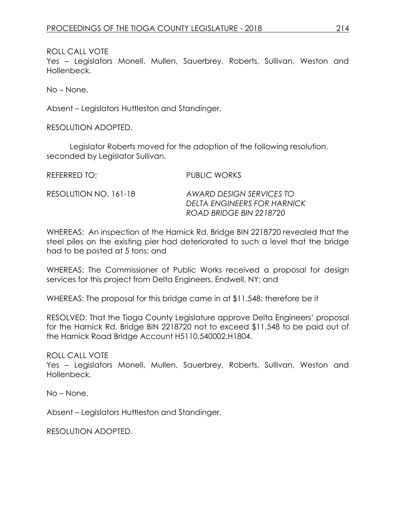Yes – Legislators Monell, Mullen, Sauerbrey, Roberts, Sullivan, Weston and Hollenbeck.

No – None.

Absent – Legislators Huttleston and Standinger.

RESOLUTION ADOPTED.

Legislator Roberts moved for the adoption of the following resolution, seconded by Legislator Sullivan.

REFERRED TO: PUBLIC WORKS RESOLUTION NO. 161-18 *AWARD DESIGN SERVICES TO DELTA ENGINEERS FOR HARNICK ROAD BRIDGE BIN 2218720*

WHEREAS: An inspection of the Harnick Rd. Bridge BIN 2218720 revealed that the steel piles on the existing pier had deteriorated to such a level that the bridge had to be posted at 5 tons; and

WHEREAS: The Commissioner of Public Works received a proposal for design services for this project from Delta Engineers, Endwell, NY; and

WHEREAS: The proposal for this bridge came in at \$11,548; therefore be it

RESOLVED: That the Tioga County Legislature approve Delta Engineers' proposal for the Harnick Rd. Bridge BIN 2218720 not to exceed \$11,548 to be paid out of the Harnick Road Bridge Account H5110.540002.H1804.

ROLL CALL VOTE

Yes – Legislators Monell, Mullen, Sauerbrey, Roberts, Sullivan, Weston and Hollenbeck.

No – None.

Absent – Legislators Huttleston and Standinger.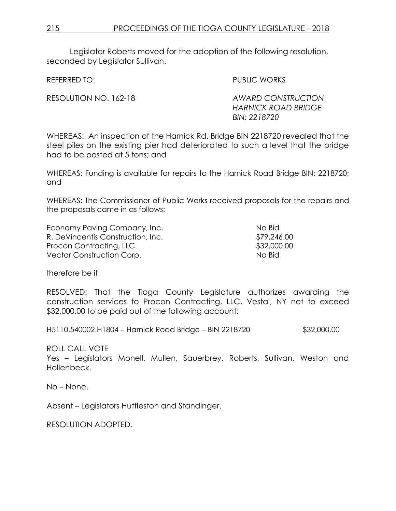Legislator Roberts moved for the adoption of the following resolution, seconded by Legislator Sullivan.

REFERRED TO: PUBLIC WORKS

RESOLUTION NO. 162-18 *AWARD CONSTRUCTION HARNICK ROAD BRIDGE BIN: 2218720* 

WHEREAS: An inspection of the Harnick Rd. Bridge BIN 2218720 revealed that the steel piles on the existing pier had deteriorated to such a level that the bridge had to be posted at 5 tons; and

WHEREAS: Funding is available for repairs to the Harnick Road Bridge BIN: 2218720; and

WHEREAS: The Commissioner of Public Works received proposals for the repairs and the proposals came in as follows:

| Economy Paving Company, Inc.      | No Bid      |
|-----------------------------------|-------------|
| R. DeVincentis Construction, Inc. | \$79,246.00 |
| Procon Contracting, LLC           | \$32,000.00 |
| Vector Construction Corp.         | No Bid      |

therefore be it

RESOLVED: That the Tioga County Legislature authorizes awarding the construction services to Procon Contracting, LLC, Vestal, NY not to exceed \$32,000.00 to be paid out of the following account:

H5110.540002.H1804 – Harnick Road Bridge – BIN 2218720 \$32,000.00

ROLL CALL VOTE

Yes – Legislators Monell, Mullen, Sauerbrey, Roberts, Sullivan, Weston and Hollenbeck.

No – None.

Absent – Legislators Huttleston and Standinger.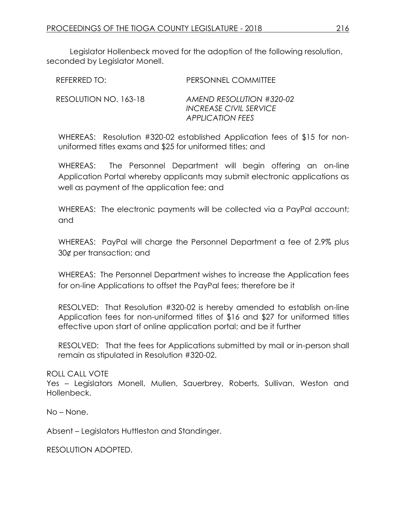Legislator Hollenbeck moved for the adoption of the following resolution, seconded by Legislator Monell.

| REFERRED TO:          | <b>PERSONNEL COMMITTEE</b>                                                    |
|-----------------------|-------------------------------------------------------------------------------|
| RESOLUTION NO. 163-18 | AMEND RESOLUTION #320-02<br><b>INCREASE CIVIL SERVICE</b><br>APPLICATION FEES |

WHEREAS: Resolution #320-02 established Application fees of \$15 for nonuniformed titles exams and \$25 for uniformed titles; and

WHEREAS: The Personnel Department will begin offering an on-line Application Portal whereby applicants may submit electronic applications as well as payment of the application fee; and

WHEREAS: The electronic payments will be collected via a PayPal account; and

WHEREAS: PayPal will charge the Personnel Department a fee of 2.9% plus 30¢ per transaction; and

WHEREAS: The Personnel Department wishes to increase the Application fees for on-line Applications to offset the PayPal fees; therefore be it

RESOLVED: That Resolution #320-02 is hereby amended to establish on-line Application fees for non-uniformed titles of \$16 and \$27 for uniformed titles effective upon start of online application portal; and be it further

RESOLVED: That the fees for Applications submitted by mail or in-person shall remain as stipulated in Resolution #320-02.

# ROLL CALL VOTE

Yes – Legislators Monell, Mullen, Sauerbrey, Roberts, Sullivan, Weston and Hollenbeck.

No – None.

Absent – Legislators Huttleston and Standinger.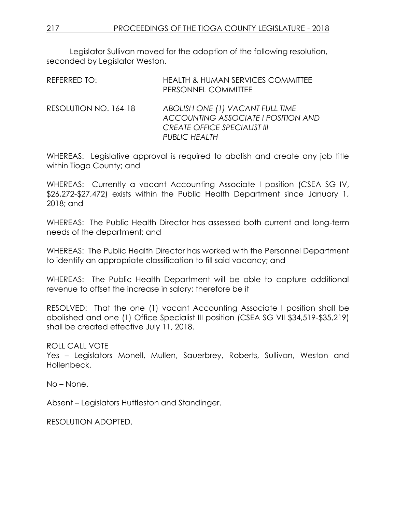Legislator Sullivan moved for the adoption of the following resolution, seconded by Legislator Weston.

| REFERRED TO:          | <b>HEALTH &amp; HUMAN SERVICES COMMITTEE</b><br>PERSONNEL COMMITTEE                                                                    |
|-----------------------|----------------------------------------------------------------------------------------------------------------------------------------|
| RESOLUTION NO. 164-18 | ABOLISH ONE (1) VACANT FULL TIME<br>ACCOUNTING ASSOCIATE I POSITION AND<br><b>CREATE OFFICE SPECIALIST III</b><br><b>PUBLIC HEALTH</b> |

WHEREAS: Legislative approval is required to abolish and create any job title within Tioga County; and

WHEREAS: Currently a vacant Accounting Associate I position (CSEA SG IV, \$26,272-\$27,472) exists within the Public Health Department since January 1, 2018; and

WHEREAS: The Public Health Director has assessed both current and long-term needs of the department; and

WHEREAS: The Public Health Director has worked with the Personnel Department to identify an appropriate classification to fill said vacancy; and

WHEREAS: The Public Health Department will be able to capture additional revenue to offset the increase in salary; therefore be it

RESOLVED: That the one (1) vacant Accounting Associate I position shall be abolished and one (1) Office Specialist III position (CSEA SG VII \$34,519-\$35,219) shall be created effective July 11, 2018.

ROLL CALL VOTE

Yes – Legislators Monell, Mullen, Sauerbrey, Roberts, Sullivan, Weston and Hollenbeck.

No – None.

Absent – Legislators Huttleston and Standinger.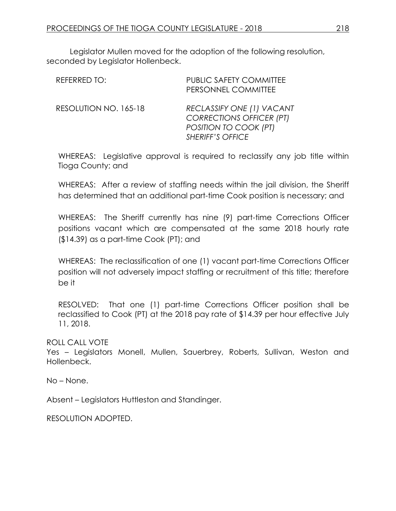Legislator Mullen moved for the adoption of the following resolution, seconded by Legislator Hollenbeck.

| REFERRED TO:          | <b>PUBLIC SAFETY COMMITTEE</b><br>PERSONNEL COMMITTEE                                                            |
|-----------------------|------------------------------------------------------------------------------------------------------------------|
| RESOLUTION NO. 165-18 | RECLASSIFY ONE (1) VACANT<br><b>CORRECTIONS OFFICER (PT)</b><br>POSITION TO COOK (PT)<br><b>SHERIFF'S OFFICE</b> |

WHEREAS: Legislative approval is required to reclassify any job title within Tioga County; and

WHEREAS: After a review of staffing needs within the jail division, the Sheriff has determined that an additional part-time Cook position is necessary; and

WHEREAS: The Sheriff currently has nine (9) part-time Corrections Officer positions vacant which are compensated at the same 2018 hourly rate (\$14.39) as a part-time Cook (PT); and

WHEREAS: The reclassification of one (1) vacant part-time Corrections Officer position will not adversely impact staffing or recruitment of this title; therefore be it

RESOLVED: That one (1) part-time Corrections Officer position shall be reclassified to Cook (PT) at the 2018 pay rate of \$14.39 per hour effective July 11, 2018.

ROLL CALL VOTE

Yes – Legislators Monell, Mullen, Sauerbrey, Roberts, Sullivan, Weston and Hollenbeck.

No – None.

Absent – Legislators Huttleston and Standinger.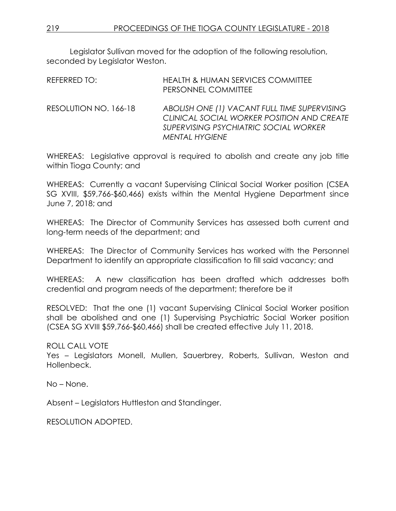Legislator Sullivan moved for the adoption of the following resolution, seconded by Legislator Weston.

| REFERRED TO:          | <b>HEALTH &amp; HUMAN SERVICES COMMITTEE</b><br>PERSONNEL COMMITTEE                                                                                          |
|-----------------------|--------------------------------------------------------------------------------------------------------------------------------------------------------------|
| RESOLUTION NO. 166-18 | ABOLISH ONE (1) VACANT FULL TIME SUPERVISING<br>CLINICAL SOCIAL WORKER POSITION AND CREATE<br>SUPERVISING PSYCHIATRIC SOCIAL WORKER<br><b>MENTAL HYGIENE</b> |

WHEREAS: Legislative approval is required to abolish and create any job title within Tioga County; and

WHEREAS: Currently a vacant Supervising Clinical Social Worker position (CSEA SG XVIII, \$59,766-\$60,466) exists within the Mental Hygiene Department since June 7, 2018; and

WHEREAS: The Director of Community Services has assessed both current and long-term needs of the department; and

WHEREAS: The Director of Community Services has worked with the Personnel Department to identify an appropriate classification to fill said vacancy; and

WHEREAS: A new classification has been drafted which addresses both credential and program needs of the department; therefore be it

RESOLVED: That the one (1) vacant Supervising Clinical Social Worker position shall be abolished and one (1) Supervising Psychiatric Social Worker position (CSEA SG XVIII \$59,766-\$60,466) shall be created effective July 11, 2018.

ROLL CALL VOTE

Yes – Legislators Monell, Mullen, Sauerbrey, Roberts, Sullivan, Weston and Hollenbeck.

No – None.

Absent – Legislators Huttleston and Standinger.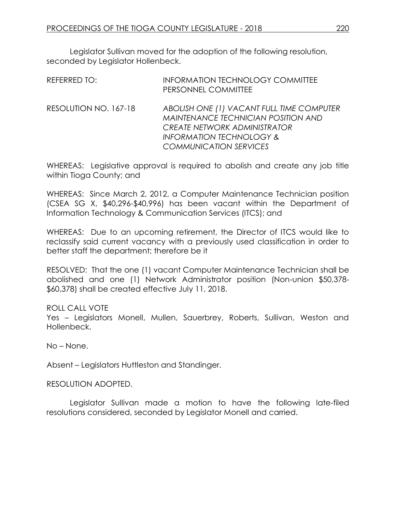Legislator Sullivan moved for the adoption of the following resolution, seconded by Legislator Hollenbeck.

| <b>REFERRED TO:</b>   | <b>INFORMATION TECHNOLOGY COMMITTEE</b><br>PERSONNEL COMMITTEE                                                                                                                                         |
|-----------------------|--------------------------------------------------------------------------------------------------------------------------------------------------------------------------------------------------------|
| RESOLUTION NO. 167-18 | ABOLISH ONE (1) VACANT FULL TIME COMPUTER<br><b>MAINTENANCE TECHNICIAN POSITION AND</b><br><b>CREATE NETWORK ADMINISTRATOR</b><br><b>INFORMATION TECHNOLOGY &amp;</b><br><b>COMMUNICATION SERVICES</b> |

WHEREAS: Legislative approval is required to abolish and create any job title within Tioga County; and

WHEREAS: Since March 2, 2012, a Computer Maintenance Technician position (CSEA SG X, \$40,296-\$40,996) has been vacant within the Department of Information Technology & Communication Services (ITCS); and

WHEREAS: Due to an upcoming retirement, the Director of ITCS would like to reclassify said current vacancy with a previously used classification in order to better staff the department; therefore be it

RESOLVED: That the one (1) vacant Computer Maintenance Technician shall be abolished and one (1) Network Administrator position (Non-union \$50,378- \$60,378) shall be created effective July 11, 2018.

# ROLL CALL VOTE

Yes – Legislators Monell, Mullen, Sauerbrey, Roberts, Sullivan, Weston and Hollenbeck.

No – None.

Absent – Legislators Huttleston and Standinger.

#### RESOLUTION ADOPTED.

Legislator Sullivan made a motion to have the following late-filed resolutions considered, seconded by Legislator Monell and carried.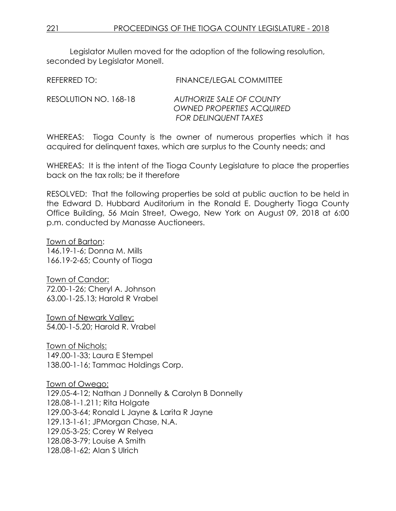Legislator Mullen moved for the adoption of the following resolution, seconded by Legislator Monell.

| REFERRED TO:          | <b>FINANCE/LEGAL COMMITTEE</b>                                                              |
|-----------------------|---------------------------------------------------------------------------------------------|
| RESOLUTION NO. 168-18 | AUTHORIZE SALE OF COUNTY<br><b>OWNED PROPERTIES ACQUIRED</b><br><b>FOR DELINQUENT TAXES</b> |

WHEREAS: Tioga County is the owner of numerous properties which it has acquired for delinquent taxes, which are surplus to the County needs; and

WHEREAS: It is the intent of the Tioga County Legislature to place the properties back on the tax rolls; be it therefore

RESOLVED: That the following properties be sold at public auction to be held in the Edward D. Hubbard Auditorium in the Ronald E. Dougherty Tioga County Office Building, 56 Main Street, Owego, New York on August 09, 2018 at 6:00 p.m. conducted by Manasse Auctioneers.

Town of Barton: 146.19-1-6; Donna M. Mills 166.19-2-65; County of Tioga

Town of Candor: 72.00-1-26; Cheryl A. Johnson 63.00-1-25.13; Harold R Vrabel

Town of Newark Valley: 54.00-1-5.20; Harold R. Vrabel

Town of Nichols: 149.00-1-33; Laura E Stempel 138.00-1-16; Tammac Holdings Corp.

Town of Owego: 129.05-4-12; Nathan J Donnelly & Carolyn B Donnelly 128.08-1-1.211; Rita Holgate 129.00-3-64; Ronald L Jayne & Larita R Jayne 129.13-1-61; JPMorgan Chase, N.A. 129.05-3-25; Corey W Relyea 128.08-3-79; Louise A Smith 128.08-1-62; Alan S Ulrich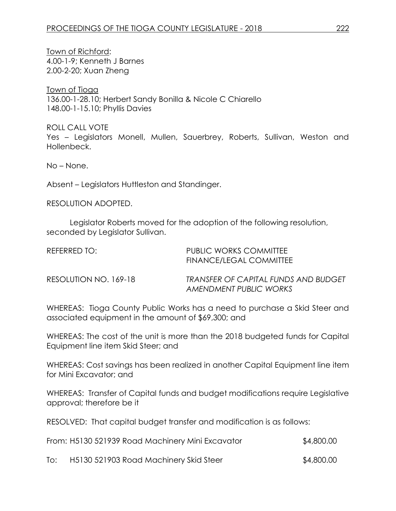Town of Richford: 4.00-1-9; Kenneth J Barnes 2.00-2-20; Xuan Zheng

Town of Tioga 136.00-1-28.10; Herbert Sandy Bonilla & Nicole C Chiarello 148.00-1-15.10; Phyllis Davies

ROLL CALL VOTE Yes – Legislators Monell, Mullen, Sauerbrey, Roberts, Sullivan, Weston and Hollenbeck.

No – None.

Absent – Legislators Huttleston and Standinger.

RESOLUTION ADOPTED.

Legislator Roberts moved for the adoption of the following resolution, seconded by Legislator Sullivan.

| REFERRED TO:          | <b>PUBLIC WORKS COMMITTEE</b><br>FINANCE/LEGAL COMMITTEE       |
|-----------------------|----------------------------------------------------------------|
| RESOLUTION NO. 169-18 | TRANSFER OF CAPITAL FUNDS AND BUDGET<br>AMENDMENT PUBLIC WORKS |

WHEREAS: Tioga County Public Works has a need to purchase a Skid Steer and associated equipment in the amount of \$69,300; and

WHEREAS: The cost of the unit is more than the 2018 budgeted funds for Capital Equipment line item Skid Steer; and

WHEREAS: Cost savings has been realized in another Capital Equipment line item for Mini Excavator; and

WHEREAS: Transfer of Capital funds and budget modifications require Legislative approval; therefore be it

RESOLVED: That capital budget transfer and modification is as follows:

|     | From: H5130 521939 Road Machinery Mini Excavator | \$4,800.00 |  |
|-----|--------------------------------------------------|------------|--|
| To: | H5130 521903 Road Machinery Skid Steer           | \$4,800.00 |  |